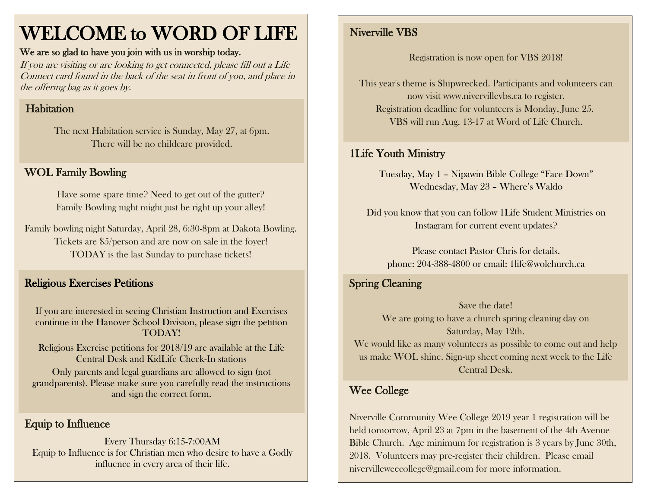## WELCOME to WORD OF LIFE

#### We are so glad to have you join with us in worship today.

If you are visiting or are looking to get connected, please fill out a Life Connect card found in the back of the seat in front of you, and place in the offering bag as it goes by.

#### **Habitation**

The next Habitation service is Sunday, May 27, at 6pm. There will be no childcare provided.

#### WOL Family Bowling

Have some spare time? Need to get out of the gutter? Family Bowling night might just be right up your alley!

Family bowling night Saturday, April 28, 6:30-8pm at Dakota Bowling. Tickets are \$5/person and are now on sale in the foyer! TODAY is the last Sunday to purchase tickets!

#### Religious Exercises Petitions

If you are interested in seeing Christian Instruction and Exercises continue in the Hanover School Division, please sign the petition TODAY!

Religious Exercise petitions for 2018/19 are available at the Life Central Desk and KidLife Check-In stations

Only parents and legal guardians are allowed to sign (not grandparents). Please make sure you carefully read the instructions and sign the correct form. Wee College

#### Equip to Influence

Every Thursday 6:15-7:00AM Equip to Influence is for Christian men who desire to have a Godly influence in every area of their life.

#### Niverville VBS

Registration is now open for VBS 2018!

This year's theme is Shipwrecked. Participants and volunteers can now visit www.nivervillevbs.ca to register. Registration deadline for volunteers is Monday, June 25. VBS will run Aug. 13-17 at Word of Life Church.

#### 1Life Youth Ministry

Tuesday, May 1 – Nipawin Bible College "Face Down" Wednesday, May 23 – Where's Waldo

Did you know that you can follow 1Life Student Ministries on Instagram for current event updates?

Please contact Pastor Chris for details. phone: 204-388-4800 or email: 1life@wolchurch.ca

#### Spring Cleaning

Save the date! We are going to have a church spring cleaning day on Saturday, May 12th. We would like as many volunteers as possible to come out and help us make WOL shine. Sign-up sheet coming next week to the Life Central Desk.

Niverville Community Wee College 2019 year 1 registration will be held tomorrow, April 23 at 7pm in the basement of the 4th Avenue Bible Church. Age minimum for registration is 3 years by June 30th, 2018. Volunteers may pre-register their children. Please email [nivervilleweecollege@gmail.com](mailto:nivervilleweecollege@gmail.com) for more information.